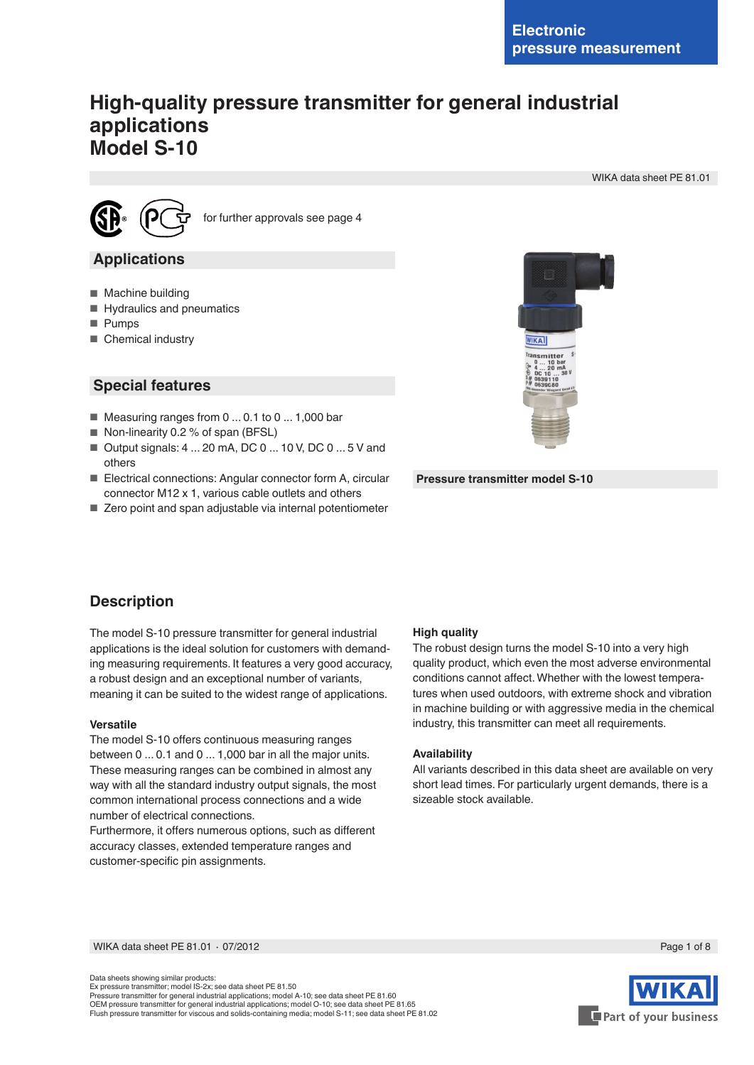# **High-quality pressure transmitter for general industrial applications Model S-10**

WIKA data sheet PE 81.01



for further approvals see page 4

## **Applications**

- Machine building
- Hydraulics and pneumatics
- Pumps
- Chemical industry

## **Special features**

- Measuring ranges from 0 ... 0.1 to 0 ... 1,000 bar
- Non-linearity 0.2 % of span (BFSL)
- Output signals: 4 ... 20 mA, DC 0 ... 10 V, DC 0 ... 5 V and others
- Electrical connections: Angular connector form A, circular connector M12 x 1, various cable outlets and others
- Zero point and span adjustable via internal potentiometer



**Pressure transmitter model S-10**

# **Description**

The model S-10 pressure transmitter for general industrial applications is the ideal solution for customers with demanding measuring requirements. It features a very good accuracy, a robust design and an exceptional number of variants, meaning it can be suited to the widest range of applications.

#### **Versatile**

The model S-10 offers continuous measuring ranges between 0 ... 0.1 and 0 ... 1,000 bar in all the major units. These measuring ranges can be combined in almost any way with all the standard industry output signals, the most common international process connections and a wide number of electrical connections.

Furthermore, it offers numerous options, such as different accuracy classes, extended temperature ranges and customer-specific pin assignments.

### **High quality**

The robust design turns the model S-10 into a very high quality product, which even the most adverse environmental conditions cannot affect. Whether with the lowest temperatures when used outdoors, with extreme shock and vibration in machine building or with aggressive media in the chemical industry, this transmitter can meet all requirements.

#### **Availability**

All variants described in this data sheet are available on very short lead times. For particularly urgent demands, there is a sizeable stock available.

WIKA data sheet PE 81.01 ⋅ 07/2012 Page 1 of 8

Data sheets showing similar products: Ex pressure transmitter; model IS-2x; see data sheet PE 81.50 Pressure transmitter for general industrial applications; model A-10; see data sheet PE 81.60 OEM pressure transmitter for general industrial applications; model O-10; see data sheet PE 81.65 Flush pressure transmitter for viscous and solids-containing media; model S-11; see data sheet PE 81.02



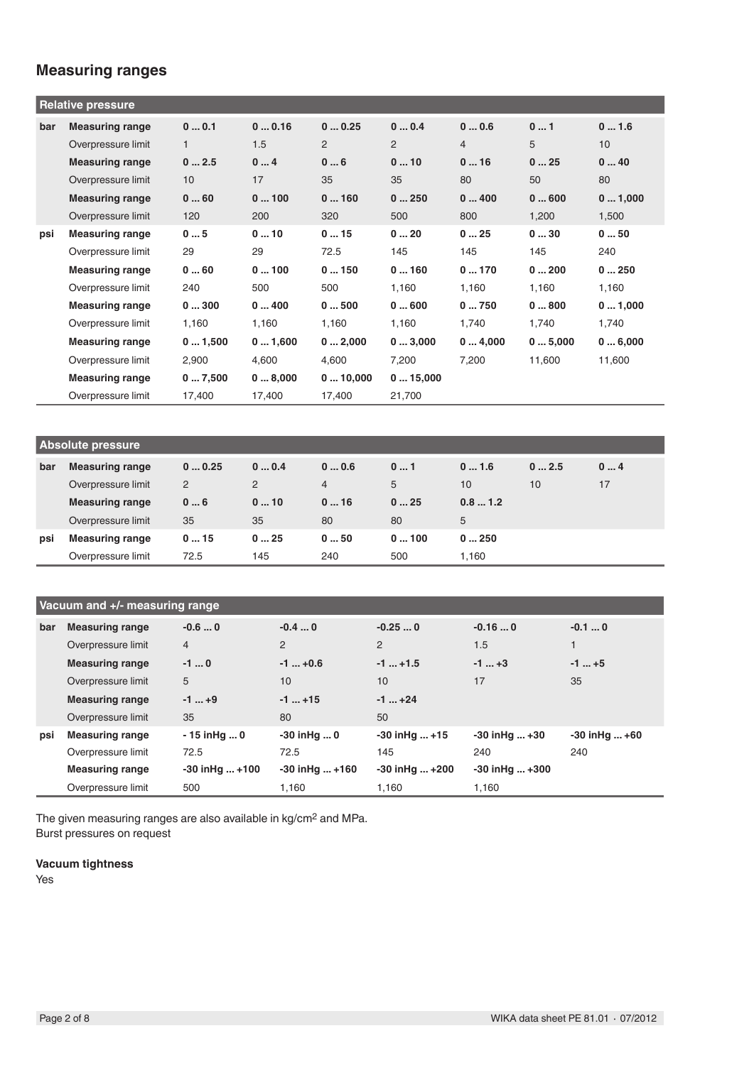# **Measuring ranges**

|     | <b>Relative pressure</b> |              |        |         |         |                |        |        |
|-----|--------------------------|--------------|--------|---------|---------|----------------|--------|--------|
| bar | <b>Measuring range</b>   | 00.1         | 00.16  | 00.25   | 00.4    | 00.6           | 01     | 01.6   |
|     | Overpressure limit       | $\mathbf{1}$ | 1.5    | 2       | 2       | $\overline{4}$ | 5      | 10     |
|     | <b>Measuring range</b>   | 02.5         | 04     | 06      | 010     | 016            | 025    | 040    |
|     | Overpressure limit       | 10           | 17     | 35      | 35      | 80             | 50     | 80     |
|     | <b>Measuring range</b>   | 060          | 0100   | 0160    | 0250    | 0400           | 0600   | 01,000 |
|     | Overpressure limit       | 120          | 200    | 320     | 500     | 800            | 1,200  | 1,500  |
| psi | <b>Measuring range</b>   | 05           | 010    | 015     | 020     | 025            | 030    | 050    |
|     | Overpressure limit       | 29           | 29     | 72.5    | 145     | 145            | 145    | 240    |
|     | <b>Measuring range</b>   | 060          | 0100   | 0150    | 0160    | 0170           | 0200   | 0250   |
|     | Overpressure limit       | 240          | 500    | 500     | 1,160   | 1,160          | 1,160  | 1,160  |
|     | <b>Measuring range</b>   | 0300         | 0400   | 0500    | 0600    | 0750           | 0800   | 01,000 |
|     | Overpressure limit       | 1,160        | 1,160  | 1,160   | 1,160   | 1,740          | 1,740  | 1,740  |
|     | <b>Measuring range</b>   | 01,500       | 01,600 | 02,000  | 03,000  | 04,000         | 05,000 | 06,000 |
|     | Overpressure limit       | 2,900        | 4,600  | 4,600   | 7,200   | 7,200          | 11,600 | 11,600 |
|     | <b>Measuring range</b>   | 07,500       | 08,000 | 010,000 | 015,000 |                |        |        |
|     | Overpressure limit       | 17,400       | 17,400 | 17,400  | 21,700  |                |        |        |

| <b>Absolute pressure</b> |                        |       |      |                |      |        |      |    |
|--------------------------|------------------------|-------|------|----------------|------|--------|------|----|
| bar                      | <b>Measuring range</b> | 00.25 | 00.4 | 00.6           | 01   | 01.6   | 02.5 | 04 |
|                          | Overpressure limit     | 2     | 2    | $\overline{4}$ | 5    | 10     | 10   | 17 |
|                          | <b>Measuring range</b> | 06    | 010  | 016            | 025  | 0.81.2 |      |    |
|                          | Overpressure limit     | 35    | 35   | 80             | 80   | 5      |      |    |
| psi                      | <b>Measuring range</b> | 015   | 025  | 050            | 0100 | 0250   |      |    |
|                          | Overpressure limit     | 72.5  | 145  | 240            | 500  | 1.160  |      |    |

|     | Vacuum and +/- measuring range |                    |                      |                    |                      |                   |
|-----|--------------------------------|--------------------|----------------------|--------------------|----------------------|-------------------|
| bar | <b>Measuring range</b>         | $-0.60$            | $-0.40$              | $-0.250$           | $-0.160$             | $-0.10$           |
|     | Overpressure limit             | $\overline{4}$     | 2                    | 2                  | 1.5                  |                   |
|     | <b>Measuring range</b>         | $-10$              | $-1  +0.6$           | $-1+1.5$           | $-1$ +3              | $-1$ +5           |
|     | Overpressure limit             | 5                  | 10                   | 10                 | 17                   | 35                |
|     | <b>Measuring range</b>         | $-1$ +9            | $-1+15$              | $-1$ $+24$         |                      |                   |
|     | Overpressure limit             | 35                 | 80                   | 50                 |                      |                   |
| psi | <b>Measuring range</b>         | $-15$ in Hg  0     | $-30$ in Hg  0       | $-30$ in Hg $+15$  | $-30$ inHq $+30$     | $-30$ in Hg $+60$ |
|     | Overpressure limit             | 72.5               | 72.5                 | 145                | 240                  | 240               |
|     | <b>Measuring range</b>         | $-30$ in Hg $+100$ | $-30$ in Hg $ + 160$ | $-30$ in Hg $+200$ | $-30$ in Hg $ + 300$ |                   |
|     | Overpressure limit             | 500                | 1.160                | 1,160              | 1.160                |                   |

The given measuring ranges are also available in kg/cm2 and MPa. Burst pressures on request

### **Vacuum tightness**

Yes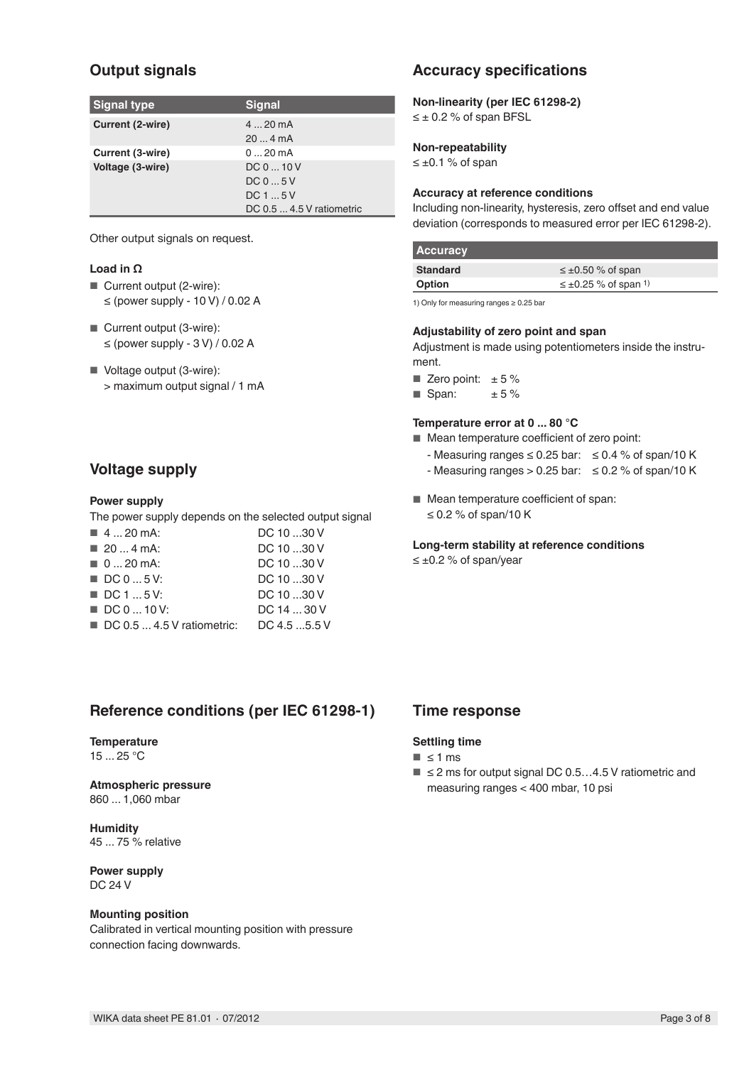# **Output signals**

| <b>Signal type</b> | <b>Signal</b>             |
|--------------------|---------------------------|
| Current (2-wire)   | $420$ mA                  |
|                    | 204mA                     |
| Current (3-wire)   | $020$ mA                  |
| Voltage (3-wire)   | DC010V                    |
|                    | DC05V                     |
|                    | DC15V                     |
|                    | DC 0.5  4.5 V ratiometric |

Other output signals on request.

### **Load in Ω**

- Current output (2-wire): ≤ (power supply - 10 V) / 0.02 A
- Current output (3-wire):  $\leq$  (power supply - 3 V) / 0.02 A
- Voltage output (3-wire): > maximum output signal / 1 mA

# **Voltage supply**

### **Power supply**

The power supply depends on the selected output signal

| $\blacksquare$ 4  20 mA:                  | DC 10 30 V    |
|-------------------------------------------|---------------|
| $\blacksquare$ 20  4 mA:                  | DC 10 30 V    |
| $\blacksquare$ 0  20 mA:                  | DC 10 30 V    |
| $\blacksquare$ DC 0  5 V:                 | DC 10 30 V    |
| $\blacksquare$ DC 1  5 V:                 | DC 10 30 V    |
| $\blacksquare$ DC 0  10 V:                | DC 14  30 V   |
| $\blacksquare$ DC 0.5  4.5 V ratiometric: | DC 4.5  5.5 V |

# **Reference conditions (per IEC 61298-1)**

### **Temperature**

15 ... 25 °C

# **Atmospheric pressure**

860 ... 1,060 mbar

**Humidity** 45 ... 75 % relative

**Power supply** DC 24 V

### **Mounting position**

Calibrated in vertical mounting position with pressure connection facing downwards.

# **Accuracy specifications**

**Non-linearity (per IEC 61298-2)** ≤ ± 0.2 % of span BFSL

### **Non-repeatability**

≤ ±0.1 % of span

### **Accuracy at reference conditions**

Including non-linearity, hysteresis, zero offset and end value deviation (corresponds to measured error per IEC 61298-2).

| <b>Accuracy</b> |                                         |
|-----------------|-----------------------------------------|
| <b>Standard</b> | $\leq \pm 0.50$ % of span               |
| Option          | $\leq \pm 0.25$ % of span <sup>1)</sup> |

1) Only for measuring ranges ≥ 0.25 bar

#### **Adjustability of zero point and span**

Adjustment is made using potentiometers inside the instrument.

■ Zero point:  $± 5 \%$ 

**B** Span:  $\pm 5\%$ 

### **Temperature error at 0 ... 80 °C**

■ Mean temperature coefficient of zero point:

- Measuring ranges ≤ 0.25 bar: ≤ 0.4 % of span/10 K
- Measuring ranges > 0.25 bar:  $\leq$  0.2 % of span/10 K
- Mean temperature coefficient of span: ≤ 0.2 % of span/10 K

# **Long-term stability at reference conditions**

≤ ±0.2 % of span/year

## **Time response**

### **Settling time**

- $\blacksquare$  ≤ 1 ms
- $\blacksquare$   $\leq$  2 ms for output signal DC 0.5...4.5 V ratiometric and measuring ranges < 400 mbar, 10 psi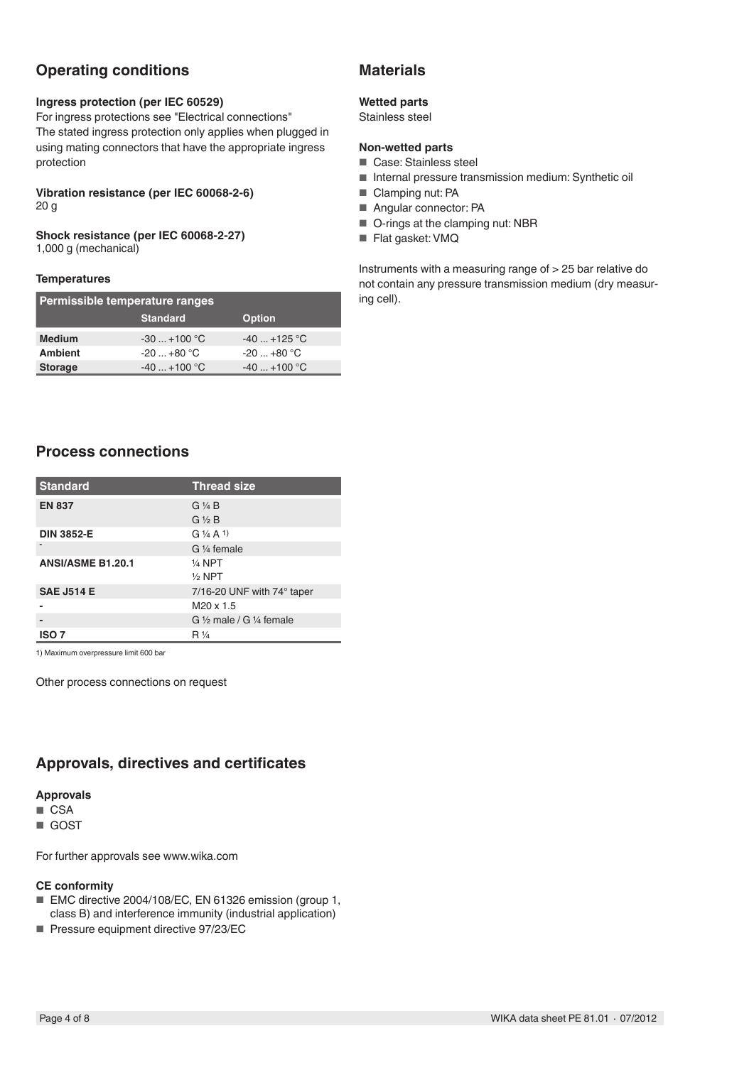# **Operating conditions**

#### **Ingress protection (per IEC 60529)**

For ingress protections see "Electrical connections" The stated ingress protection only applies when plugged in using mating connectors that have the appropriate ingress protection

#### **Vibration resistance (per IEC 60068-2-6)** 20 g

# **Shock resistance (per IEC 60068-2-27)**

1,000 g (mechanical)

### **Temperatures**

| Permissible temperature ranges |                 |               |  |  |  |  |
|--------------------------------|-----------------|---------------|--|--|--|--|
|                                | <b>Standard</b> | <b>Option</b> |  |  |  |  |
| <b>Medium</b>                  | $-30+100$ °C    | $-40+125$ °C  |  |  |  |  |
| <b>Ambient</b>                 | $-20+80 °C$     | $-20+80$ °C   |  |  |  |  |
| <b>Storage</b>                 | $-40+100$ °C    | $-40+100$ °C  |  |  |  |  |

# **Materials**

### **Wetted parts**

Stainless steel

### **Non-wetted parts**

- Case: Stainless steel
- Internal pressure transmission medium: Synthetic oil
- Clamping nut: PA
- Angular connector: PA
- O-rings at the clamping nut: NBR
- Flat gasket: VMQ

Instruments with a measuring range of > 25 bar relative do not contain any pressure transmission medium (dry measuring cell).

# **Process connections**

| <b>Standard</b>          | <b>Thread size</b>                            |
|--------------------------|-----------------------------------------------|
| <b>EN 837</b>            | $G\mathrel{\mathrel{\mathcal{H}}} B$          |
|                          | $G \nless B$                                  |
| <b>DIN 3852-E</b>        | $G\frac{1}{4}A$ 1)                            |
|                          | G 1/4 female                                  |
| <b>ANSI/ASME B1.20.1</b> | $\frac{1}{4}$ NPT                             |
|                          | $1/2$ NPT                                     |
| <b>SAE J514 E</b>        | $7/16$ -20 UNF with $74^{\circ}$ taper        |
|                          | M <sub>20</sub> x 1.5                         |
|                          | G $\frac{1}{2}$ male / G $\frac{1}{4}$ female |
| <b>ISO 7</b>             | $R\frac{1}{4}$                                |

1) Maximum overpressure limit 600 bar

Other process connections on request

# **Approvals, directives and certificates**

### **Approvals**

■ CSA

■ GOST

For further approvals see www.wika.com

### **CE conformity**

- EMC directive 2004/108/EC, EN 61326 emission (group 1, class B) and interference immunity (industrial application)
- Pressure equipment directive 97/23/EC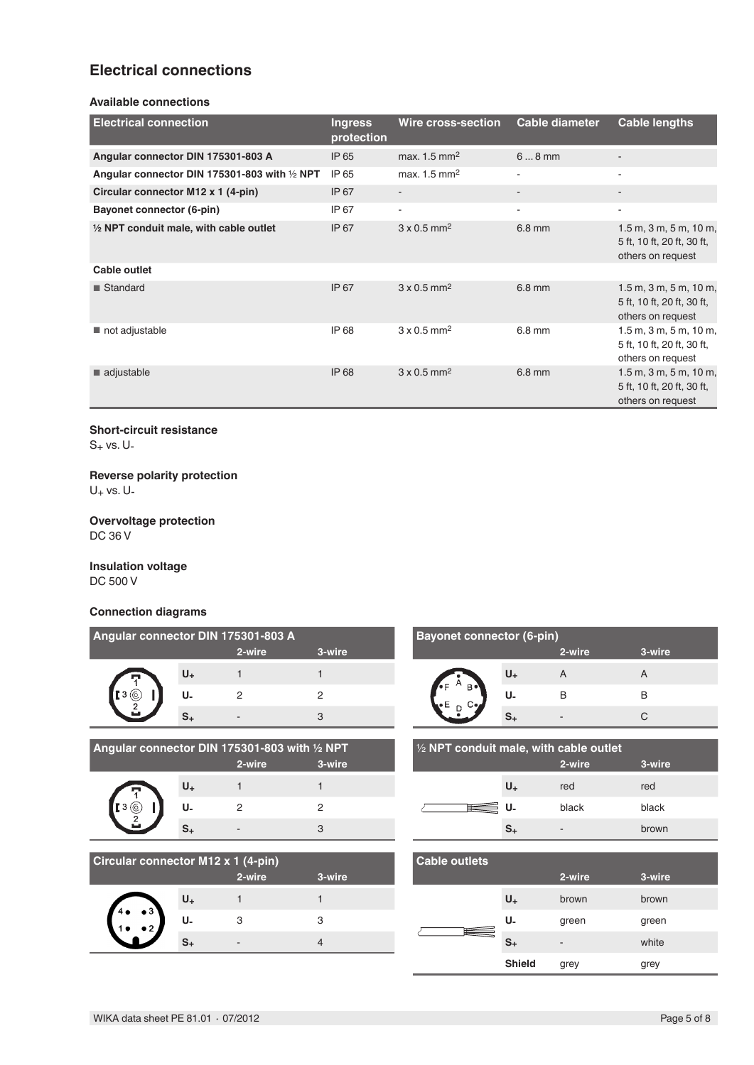# **Electrical connections**

#### **Available connections**

| <b>Electrical connection</b>                  | <b>Ingress</b><br>protection | <b>Wire cross-section</b>      | <b>Cable diameter</b> | <b>Cable lengths</b>                                                              |
|-----------------------------------------------|------------------------------|--------------------------------|-----------------------|-----------------------------------------------------------------------------------|
| Angular connector DIN 175301-803 A            | IP 65                        | max. $1.5 \text{ mm}^2$        | $68$ mm               | $\overline{\phantom{0}}$                                                          |
| Angular connector DIN 175301-803 with 1/2 NPT | IP 65                        | max. $1.5 \text{ mm}^2$        |                       | ÷                                                                                 |
| Circular connector M12 x 1 (4-pin)            | IP 67                        | $\sim$                         |                       | -                                                                                 |
| Bayonet connector (6-pin)                     | IP 67                        | $\overline{\phantom{a}}$       | $\blacksquare$        | ٠                                                                                 |
| 1/2 NPT conduit male, with cable outlet       | IP 67                        | $3 \times 0.5$ mm <sup>2</sup> | $6.8$ mm              | $1.5$ m, $3$ m, $5$ m, $10$ m,<br>5 ft, 10 ft, 20 ft, 30 ft,<br>others on request |
| Cable outlet                                  |                              |                                |                       |                                                                                   |
| <b>■ Standard</b>                             | IP 67                        | $3 \times 0.5$ mm <sup>2</sup> | 6.8 mm                | $1.5$ m, $3$ m, $5$ m, $10$ m,<br>5 ft, 10 ft, 20 ft, 30 ft,<br>others on request |
| not adjustable                                | IP 68                        | $3 \times 0.5$ mm <sup>2</sup> | $6.8 \text{ mm}$      | $1.5$ m, $3$ m, $5$ m, $10$ m,<br>5 ft, 10 ft, 20 ft, 30 ft,<br>others on request |
| adjustable                                    | <b>IP 68</b>                 | $3 \times 0.5$ mm <sup>2</sup> | 6.8 mm                | $1.5$ m, $3$ m, $5$ m, $10$ m,<br>5 ft, 10 ft, 20 ft, 30 ft,<br>others on request |

#### **Short-circuit resistance**

 $S_+$  vs. U-

### **Reverse polarity protection**

 $U_+$  vs.  $U_-$ 

### **Overvoltage protection** DC 36 V

**Insulation voltage** DC 500 V

### **Connection diagrams**

| Angular connector DIN 175301-803 A |    |        |        |  |  |  |  |
|------------------------------------|----|--------|--------|--|--|--|--|
|                                    |    | 2-wire | 3-wire |  |  |  |  |
|                                    | U+ |        |        |  |  |  |  |
|                                    | U. |        |        |  |  |  |  |
|                                    |    |        |        |  |  |  |  |

| Angular connector DIN 175301-803 with $\frac{1}{2}$ NPT |        |        |
|---------------------------------------------------------|--------|--------|
|                                                         | 2-wire | 3-wire |

| $3$ ( $\odot$ |  |
|---------------|--|
| 2             |  |
|               |  |

|                | <u>UI DIN 17330 I-003 WILL /2 IN T</u> |        |
|----------------|----------------------------------------|--------|
|                | 2-wire                                 | 3-wire |
| U <sub>+</sub> |                                        |        |
| U.             | 2                                      | 2      |
| $S_{+}$        |                                        | 3      |

| <b>Circular connector M12 x 1 (4-pin)</b> |         |        |        |  |  |
|-------------------------------------------|---------|--------|--------|--|--|
|                                           |         | 2-wire | 3-wire |  |  |
| $\bullet$ 3                               | $U_{+}$ |        |        |  |  |
|                                           | U.      | З      | З      |  |  |
|                                           |         |        |        |  |  |

| <b>Bayonet connector (6-pin)</b> |                |        |        |  |
|----------------------------------|----------------|--------|--------|--|
|                                  |                | 2-wire | 3-wire |  |
|                                  | U <sub>+</sub> |        |        |  |
| R.                               | U.             | в      | в      |  |
|                                  |                | -      |        |  |

| $\frac{1}{2}$ NPT conduit male, with cable outlet |                |       |       |  |  |
|---------------------------------------------------|----------------|-------|-------|--|--|
| 2-wire<br>3-wire                                  |                |       |       |  |  |
|                                                   | U <sub>+</sub> | red   | red   |  |  |
|                                                   | U.             | black | black |  |  |
|                                                   | s.             | -     | brown |  |  |

| <b>Cable outlets</b> |               |        |        |  |
|----------------------|---------------|--------|--------|--|
|                      |               | 2-wire | 3-wire |  |
|                      | $U_{+}$       | brown  | brown  |  |
| Ħ                    | U-            | green  | green  |  |
|                      | $S_{+}$       | -      | white  |  |
|                      | <b>Shield</b> | grey   | grey   |  |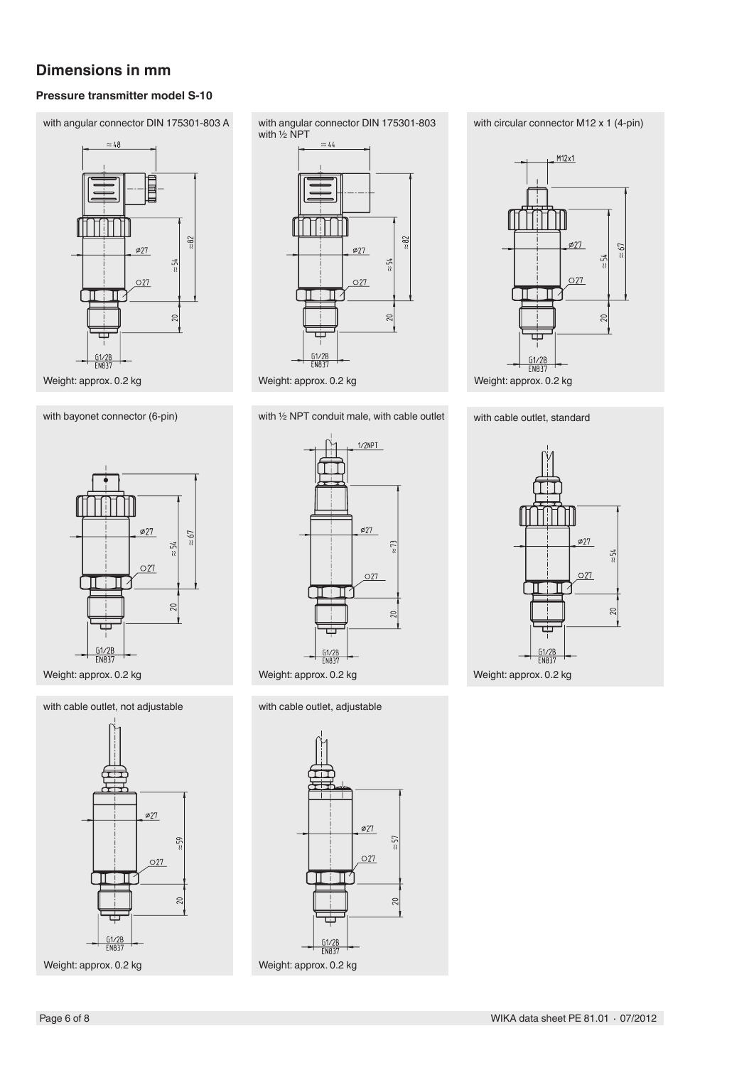# **Dimensions in mm**

### **Pressure transmitter model S-10**







Weight: approx. 0.2 kg

### with cable outlet, not adjustable with cable outlet, adjustable



Weight: approx. 0.2 kg



with bayonet connector (6-pin) with 1/2 NPT conduit male, with cable outlet with cable outlet, standard









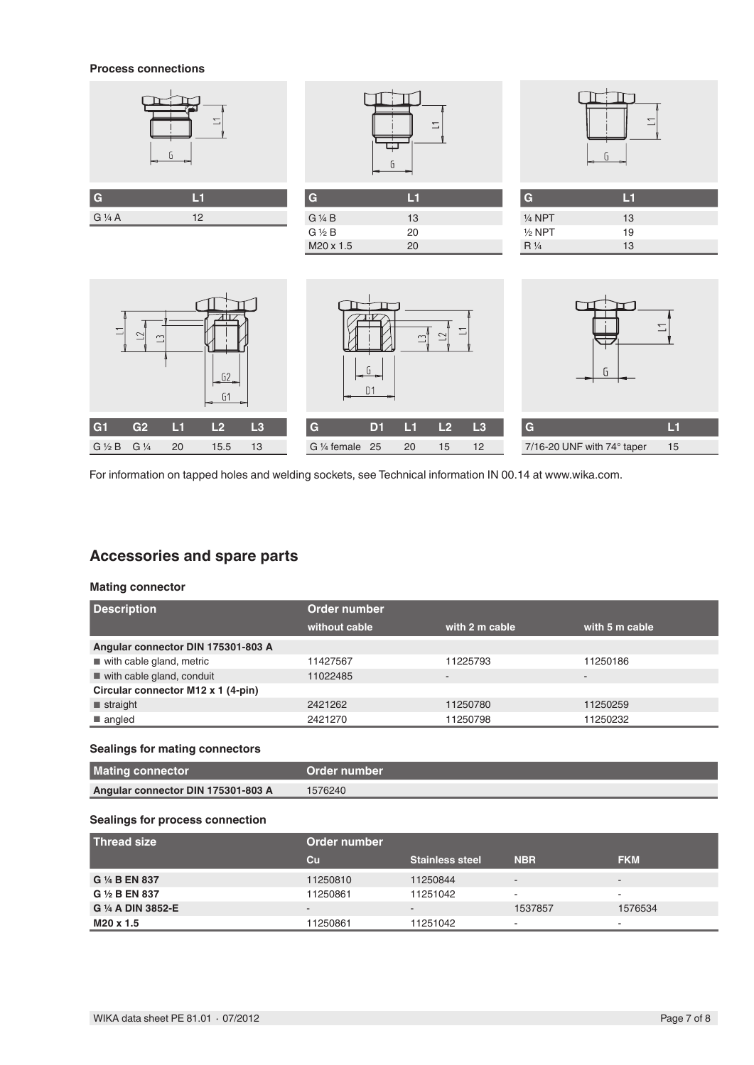#### **Process connections**





**G L1**

 $G \frac{1}{4} B$  13<br>  $G \frac{1}{2} B$  20  $G \frac{1}{2} B$  20<br>M20 x 1.5 20

 $M20 \times 1.5$ 



| G                 | ы  |  |
|-------------------|----|--|
| $\frac{1}{4}$ NPT | 13 |  |
| $1/2$ NPT         | 19 |  |
| $R\frac{1}{4}$    | 13 |  |







For information on tapped holes and welding sockets, see Technical information IN 00.14 at www.wika.com.

# **Accessories and spare parts**

### **Mating connector**

| <b>Description</b>                      | Order number  |                          |                          |  |
|-----------------------------------------|---------------|--------------------------|--------------------------|--|
|                                         | without cable | with 2 m cable           | with 5 m cable           |  |
| Angular connector DIN 175301-803 A      |               |                          |                          |  |
| $\blacksquare$ with cable gland, metric | 11427567      | 11225793                 | 11250186                 |  |
| with cable gland, conduit               | 11022485      | $\overline{\phantom{0}}$ | $\overline{\phantom{a}}$ |  |
| Circular connector M12 x 1 (4-pin)      |               |                          |                          |  |
| $\blacksquare$ straight                 | 2421262       | 11250780                 | 11250259                 |  |
| $\blacksquare$ angled                   | 2421270       | 11250798                 | 11250232                 |  |

### **Sealings for mating connectors**

| <b>Mating connector</b>            | ∟Order number <sup>।</sup> |
|------------------------------------|----------------------------|
| Angular connector DIN 175301-803 A | 1576240                    |

### **Sealings for process connection**

| l Thread size      | Order number             |                        |                          |                |  |
|--------------------|--------------------------|------------------------|--------------------------|----------------|--|
|                    | $cu$                     | <b>Stainless steel</b> | <b>NBR</b>               | <b>FKM</b>     |  |
| G 1/4 B EN 837     | 11250810                 | 11250844               | $\overline{\phantom{a}}$ | $\sim$         |  |
| G 1/2 B EN 837     | 11250861                 | 11251042               | $\blacksquare$           | $\sim$         |  |
| G 1/4 A DIN 3852-E | $\overline{\phantom{0}}$ | $\sim$                 | 1537857                  | 1576534        |  |
| M20 x 1.5          | 11250861                 | 11251042               | ۰                        | $\overline{a}$ |  |